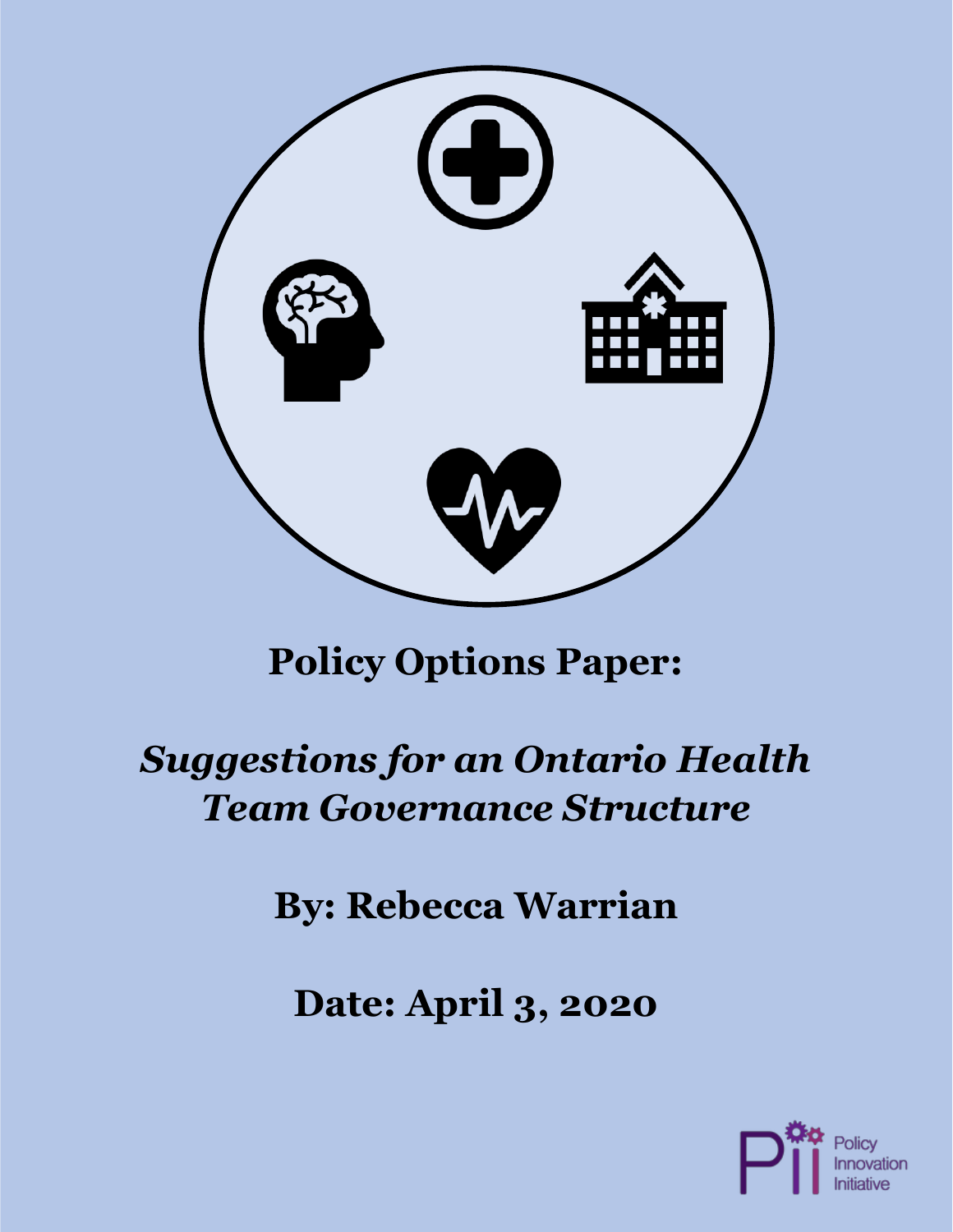

# **Policy Options Paper:**

# *Suggestions for an Ontario Health Team Governance Structure*

# **By: Rebecca Warrian**

**Date: April 3, 2020**

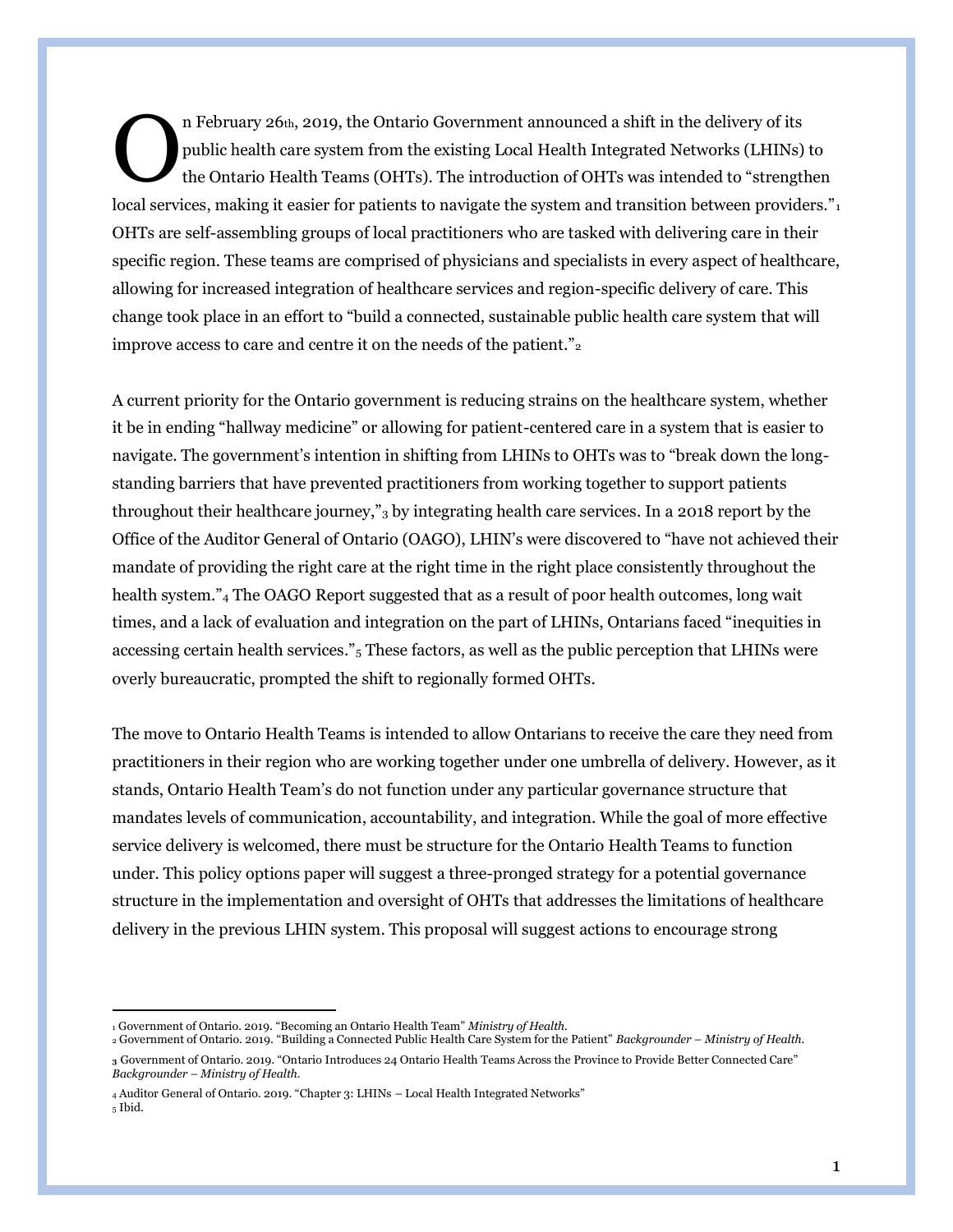n February 26th, 2019, the Ontario Government announced a shift in the delivery of its public health care system from the existing Local Health Integrated Networks (LHINs) to the Ontario Health Teams (OHTs). The introduction of OHTs was intended to "strengthen local services, making it easier for patients to navigate the system and transition between providers."<sub>1</sub> OHTs are self-assembling groups of local practitioners who are tasked with delivering care in their specific region. These teams are comprised of physicians and specialists in every aspect of healthcare, allowing for increased integration of healthcare services and region-specific delivery of care. This change took place in an effort to "build a connected, sustainable public health care system that will improve access to care and centre it on the needs of the patient." $_2$ O

A current priority for the Ontario government is reducing strains on the healthcare system, whether it be in ending "hallway medicine" or allowing for patient-centered care in a system that is easier to navigate. The government's intention in shifting from LHINs to OHTs was to "break down the longstanding barriers that have prevented practitioners from working together to support patients throughout their healthcare journey,"<sup>3</sup> by integrating health care services. In a 2018 report by the Office of the Auditor General of Ontario (OAGO), LHIN's were discovered to "have not achieved their mandate of providing the right care at the right time in the right place consistently throughout the health system."<sup>4</sup> The OAGO Report suggested that as a result of poor health outcomes, long wait times, and a lack of evaluation and integration on the part of LHINs, Ontarians faced "inequities in accessing certain health services."<sup>5</sup> These factors, as well as the public perception that LHINs were overly bureaucratic, prompted the shift to regionally formed OHTs.

The move to Ontario Health Teams is intended to allow Ontarians to receive the care they need from practitioners in their region who are working together under one umbrella of delivery. However, as it stands, Ontario Health Team's do not function under any particular governance structure that mandates levels of communication, accountability, and integration. While the goal of more effective service delivery is welcomed, there must be structure for the Ontario Health Teams to function under. This policy options paper will suggest a three-pronged strategy for a potential governance structure in the implementation and oversight of OHTs that addresses the limitations of healthcare delivery in the previous LHIN system. This proposal will suggest actions to encourage strong

<sup>1</sup> Government of Ontario. 2019. "Becoming an Ontario Health Team" *Ministry of Health.* 

<sup>2</sup> Government of Ontario. 2019. "Building a Connected Public Health Care System for the Patient" *Backgrounder – Ministry of Health.*  **<sup>3</sup>** Government of Ontario. 2019. "Ontario Introduces 24 Ontario Health Teams Across the Province to Provide Better Connected Care" *Backgrounder – Ministry of Health.* 

<sup>4</sup> Auditor General of Ontario. 2019. "Chapter 3: LHINs – Local Health Integrated Networks" <sup>5</sup> Ibid.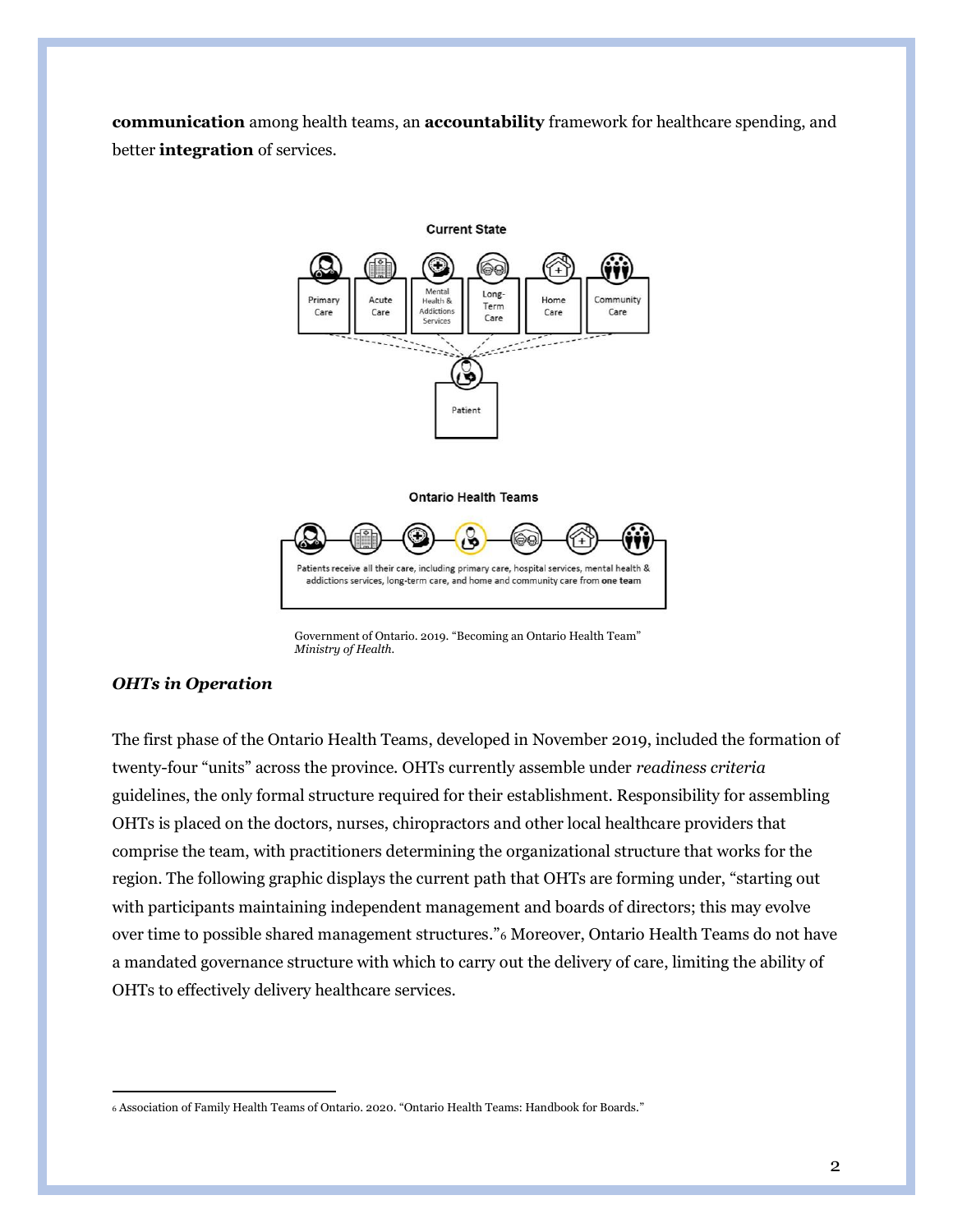**communication** among health teams, an **accountability** framework for healthcare spending, and better **integration** of services.



Government of Ontario. 2019. "Becoming an Ontario Health Team" *Ministry of Health.*

#### *OHTs in Operation*

The first phase of the Ontario Health Teams, developed in November 2019, included the formation of twenty-four "units" across the province. OHTs currently assemble under *readiness criteria* guidelines, the only formal structure required for their establishment. Responsibility for assembling OHTs is placed on the doctors, nurses, chiropractors and other local healthcare providers that comprise the team, with practitioners determining the organizational structure that works for the region. The following graphic displays the current path that OHTs are forming under, "starting out with participants maintaining independent management and boards of directors; this may evolve over time to possible shared management structures."<sup>6</sup> Moreover, Ontario Health Teams do not have a mandated governance structure with which to carry out the delivery of care, limiting the ability of OHTs to effectively delivery healthcare services.

<sup>6</sup> Association of Family Health Teams of Ontario. 2020. "Ontario Health Teams: Handbook for Boards."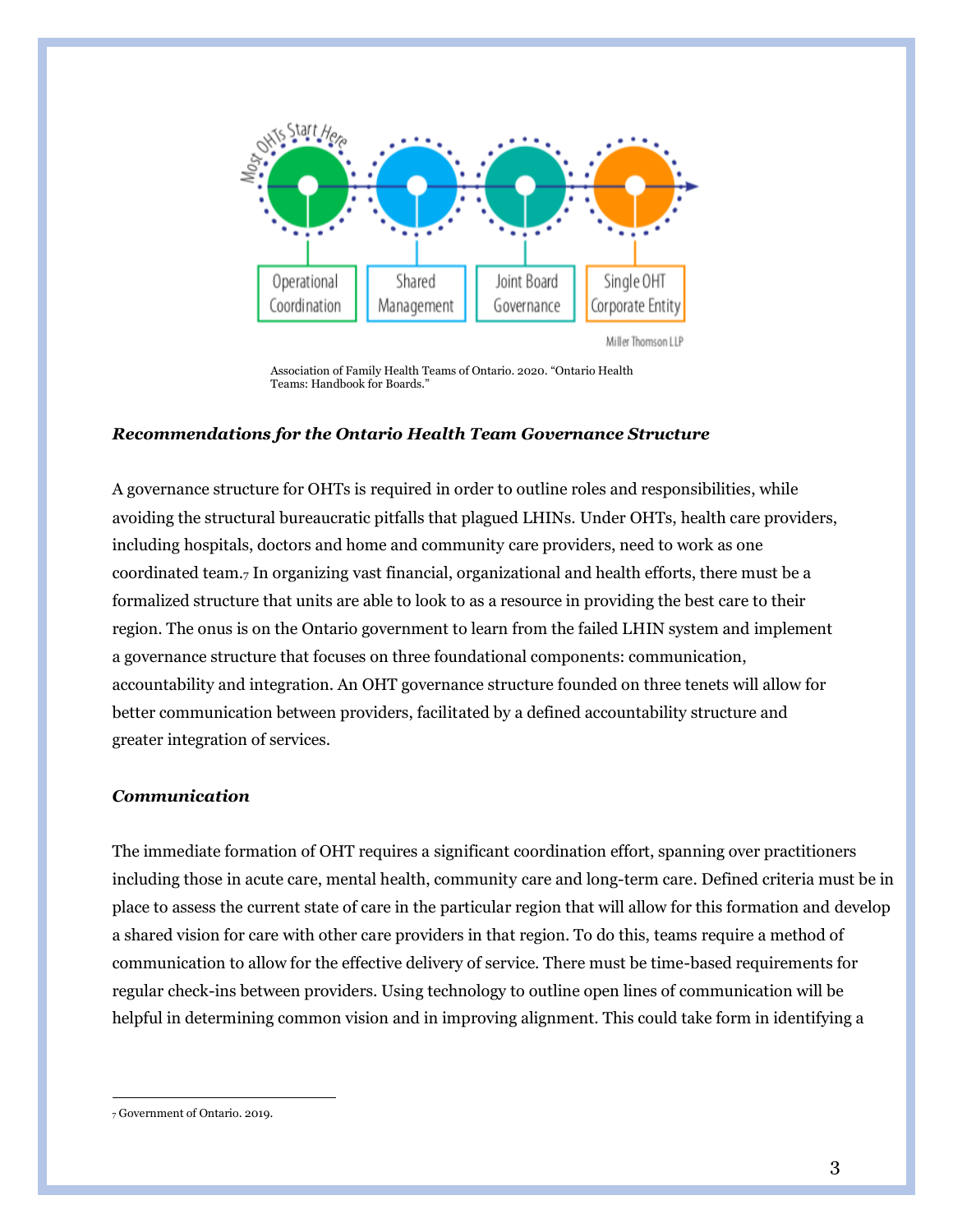

Association of Family Health Teams of Ontario. 2020. "Ontario Health Teams: Handbook for Boards."

#### *Recommendations for the Ontario Health Team Governance Structure*

A governance structure for OHTs is required in order to outline roles and responsibilities, while avoiding the structural bureaucratic pitfalls that plagued LHINs. Under OHTs, health care providers, including hospitals, doctors and home and community care providers, need to work as one coordinated team.7 In organizing vast financial, organizational and health efforts, there must be a formalized structure that units are able to look to as a resource in providing the best care to their region. The onus is on the Ontario government to learn from the failed LHIN system and implement a governance structure that focuses on three foundational components: communication, accountability and integration. An OHT governance structure founded on three tenets will allow for better communication between providers, facilitated by a defined accountability structure and greater integration of services.

## *Communication*

The immediate formation of OHT requires a significant coordination effort, spanning over practitioners including those in acute care, mental health, community care and long-term care. Defined criteria must be in place to assess the current state of care in the particular region that will allow for this formation and develop a shared vision for care with other care providers in that region. To do this, teams require a method of communication to allow for the effective delivery of service. There must be time-based requirements for regular check-ins between providers. Using technology to outline open lines of communication will be helpful in determining common vision and in improving alignment. This could take form in identifying a

<sup>7</sup> Government of Ontario. 2019.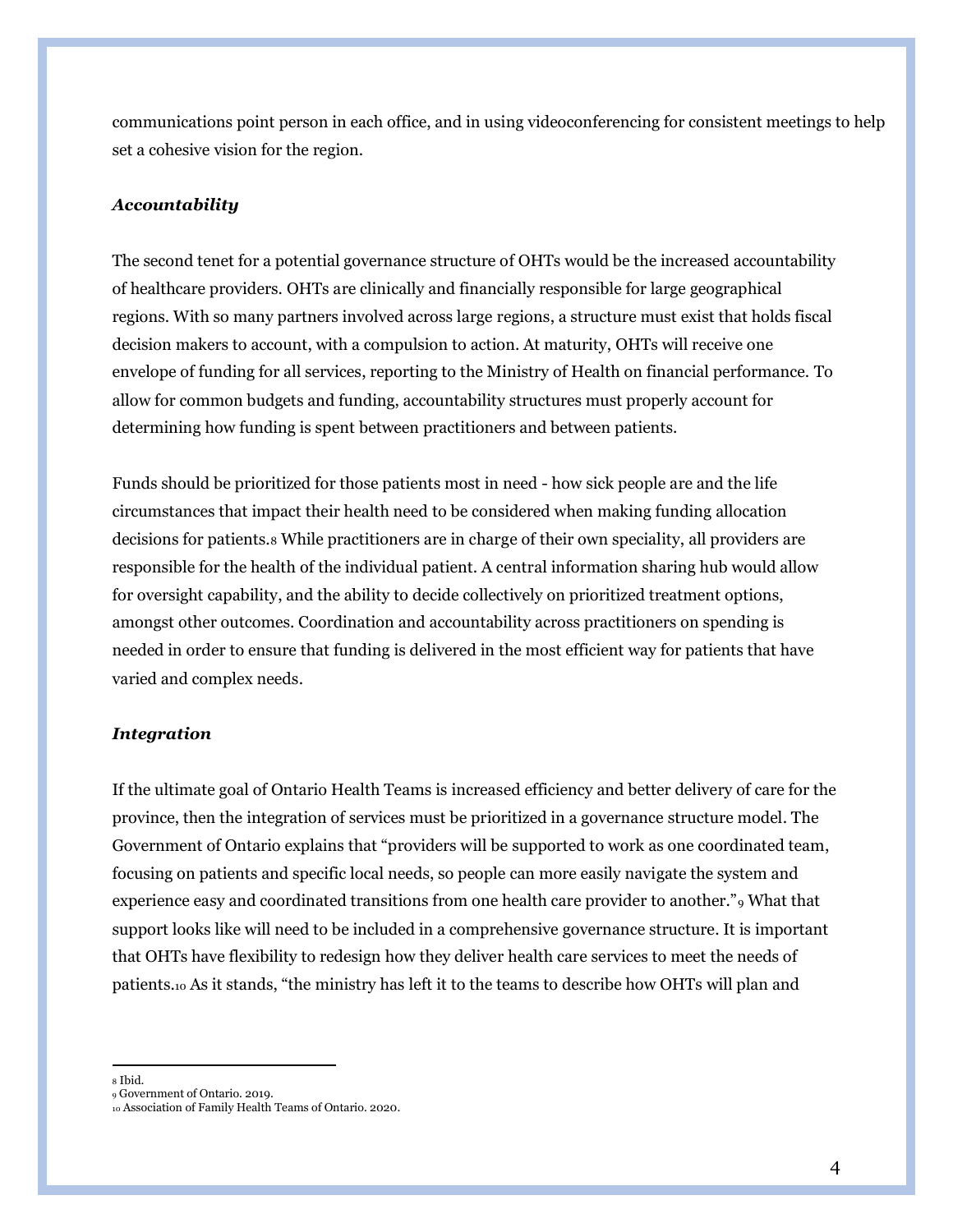communications point person in each office, and in using videoconferencing for consistent meetings to help set a cohesive vision for the region.

### *Accountability*

The second tenet for a potential governance structure of OHTs would be the increased accountability of healthcare providers. OHTs are clinically and financially responsible for large geographical regions. With so many partners involved across large regions, a structure must exist that holds fiscal decision makers to account, with a compulsion to action. At maturity, OHTs will receive one envelope of funding for all services, reporting to the Ministry of Health on financial performance. To allow for common budgets and funding, accountability structures must properly account for determining how funding is spent between practitioners and between patients.

Funds should be prioritized for those patients most in need - how sick people are and the life circumstances that impact their health need to be considered when making funding allocation decisions for patients.8 While practitioners are in charge of their own speciality, all providers are responsible for the health of the individual patient. A central information sharing hub would allow for oversight capability, and the ability to decide collectively on prioritized treatment options, amongst other outcomes. Coordination and accountability across practitioners on spending is needed in order to ensure that funding is delivered in the most efficient way for patients that have varied and complex needs.

#### *Integration*

If the ultimate goal of Ontario Health Teams is increased efficiency and better delivery of care for the province, then the integration of services must be prioritized in a governance structure model. The Government of Ontario explains that "providers will be supported to work as one coordinated team, focusing on patients and specific local needs, so people can more easily navigate the system and experience easy and coordinated transitions from one health care provider to another."<sup>9</sup> What that support looks like will need to be included in a comprehensive governance structure. It is important that OHTs have flexibility to redesign how they deliver health care services to meet the needs of patients.10 As it stands, "the ministry has left it to the teams to describe how OHTs will plan and

<sup>8</sup> Ibid.

<sup>9</sup> Government of Ontario. 2019.

<sup>10</sup> Association of Family Health Teams of Ontario. 2020.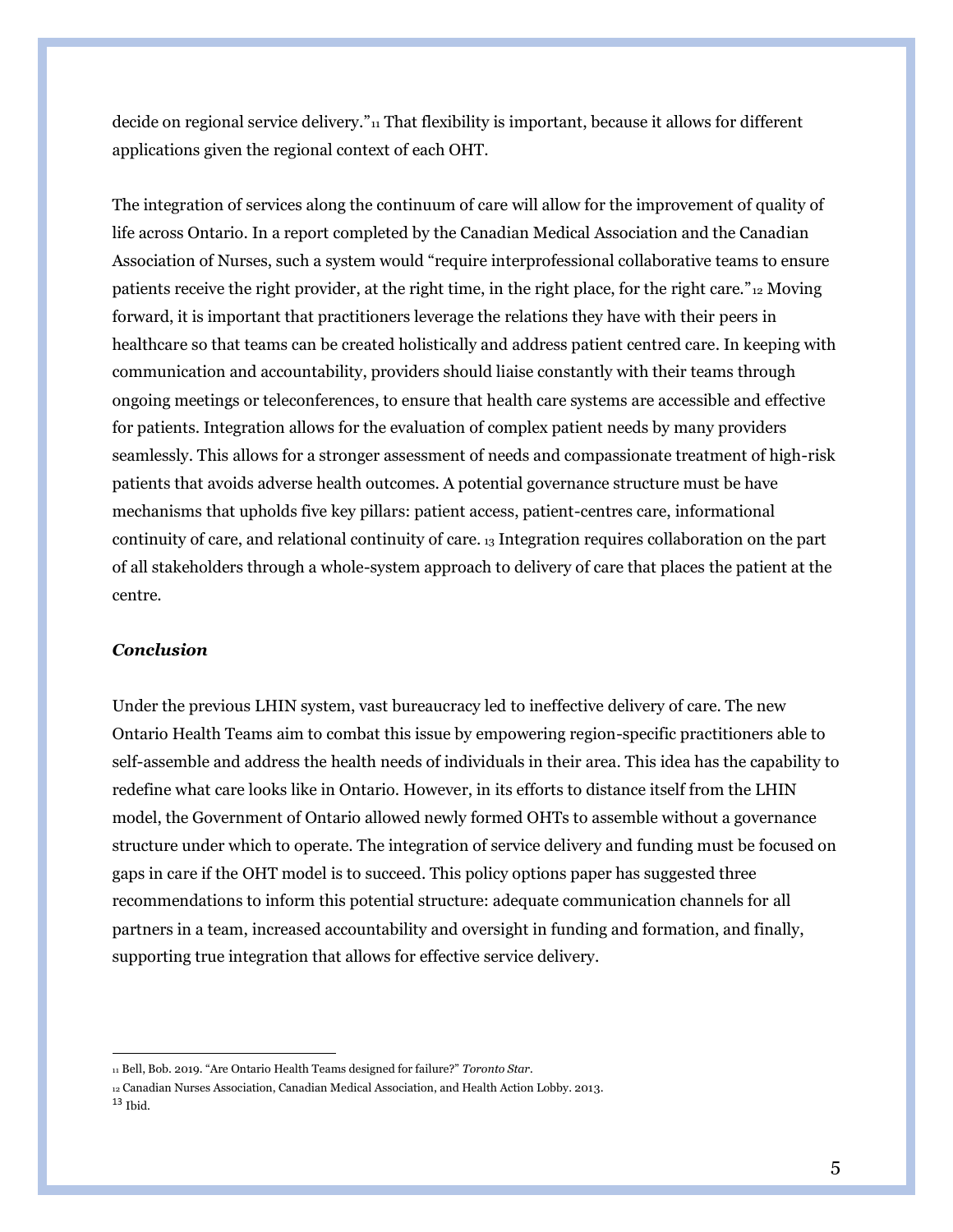decide on regional service delivery."<sup>11</sup> That flexibility is important, because it allows for different applications given the regional context of each OHT.

The integration of services along the continuum of care will allow for the improvement of quality of life across Ontario. In a report completed by the Canadian Medical Association and the Canadian Association of Nurses, such a system would "require interprofessional collaborative teams to ensure patients receive the right provider, at the right time, in the right place, for the right care."<sup>12</sup> Moving forward, it is important that practitioners leverage the relations they have with their peers in healthcare so that teams can be created holistically and address patient centred care. In keeping with communication and accountability, providers should liaise constantly with their teams through ongoing meetings or teleconferences, to ensure that health care systems are accessible and effective for patients. Integration allows for the evaluation of complex patient needs by many providers seamlessly. This allows for a stronger assessment of needs and compassionate treatment of high-risk patients that avoids adverse health outcomes. A potential governance structure must be have mechanisms that upholds five key pillars: patient access, patient-centres care, informational continuity of care, and relational continuity of care. <sup>13</sup> Integration requires collaboration on the part of all stakeholders through a whole-system approach to delivery of care that places the patient at the centre.

## *Conclusion*

Under the previous LHIN system, vast bureaucracy led to ineffective delivery of care. The new Ontario Health Teams aim to combat this issue by empowering region-specific practitioners able to self-assemble and address the health needs of individuals in their area. This idea has the capability to redefine what care looks like in Ontario. However, in its efforts to distance itself from the LHIN model, the Government of Ontario allowed newly formed OHTs to assemble without a governance structure under which to operate. The integration of service delivery and funding must be focused on gaps in care if the OHT model is to succeed. This policy options paper has suggested three recommendations to inform this potential structure: adequate communication channels for all partners in a team, increased accountability and oversight in funding and formation, and finally, supporting true integration that allows for effective service delivery.

<sup>11</sup> Bell, Bob. 2019. "Are Ontario Health Teams designed for failure?" *Toronto Star.* 

<sup>12</sup> Canadian Nurses Association, Canadian Medical Association, and Health Action Lobby. 2013. <sup>13</sup> Ibid.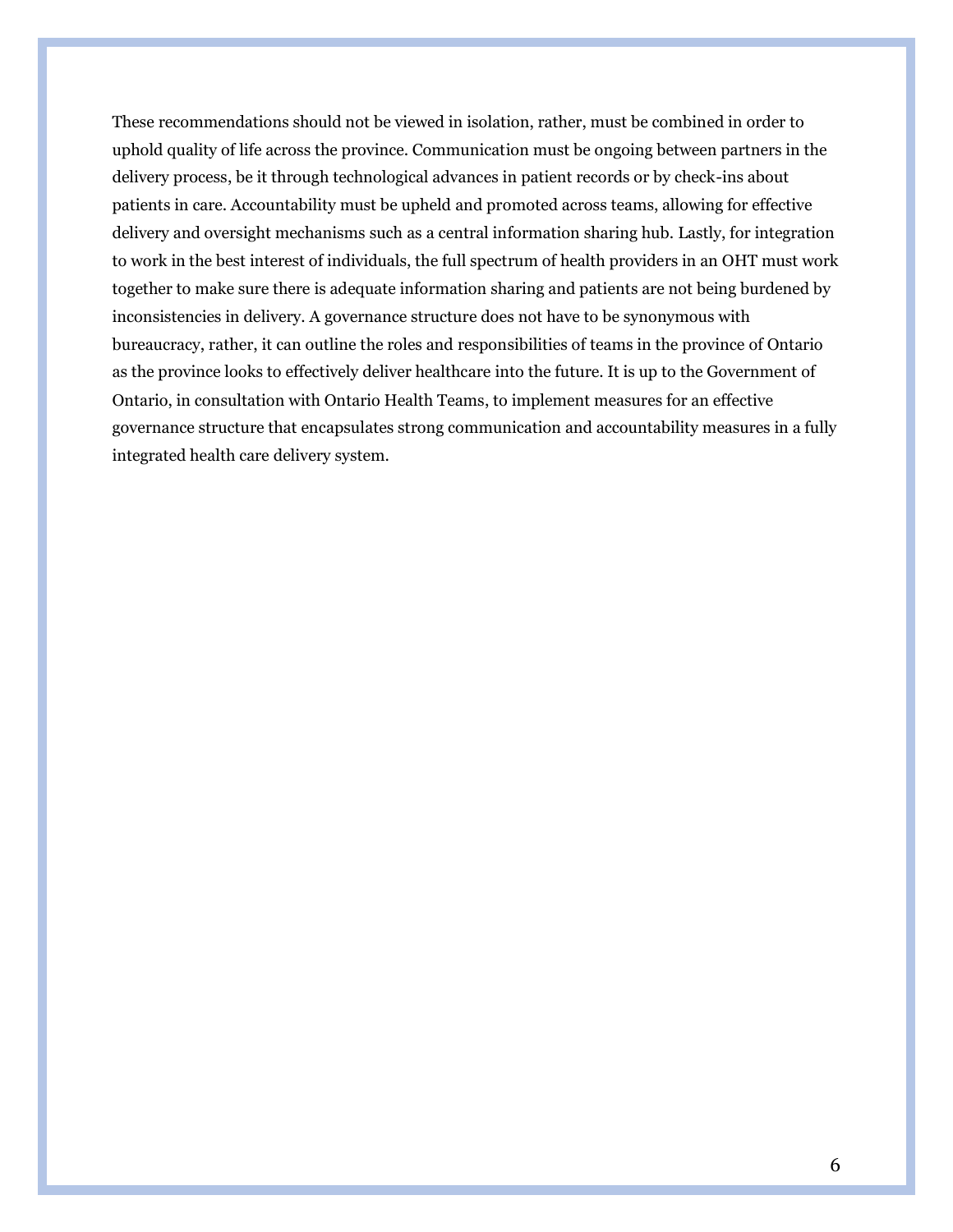These recommendations should not be viewed in isolation, rather, must be combined in order to uphold quality of life across the province. Communication must be ongoing between partners in the delivery process, be it through technological advances in patient records or by check-ins about patients in care. Accountability must be upheld and promoted across teams, allowing for effective delivery and oversight mechanisms such as a central information sharing hub. Lastly, for integration to work in the best interest of individuals, the full spectrum of health providers in an OHT must work together to make sure there is adequate information sharing and patients are not being burdened by inconsistencies in delivery. A governance structure does not have to be synonymous with bureaucracy, rather, it can outline the roles and responsibilities of teams in the province of Ontario as the province looks to effectively deliver healthcare into the future. It is up to the Government of Ontario, in consultation with Ontario Health Teams, to implement measures for an effective governance structure that encapsulates strong communication and accountability measures in a fully integrated health care delivery system.